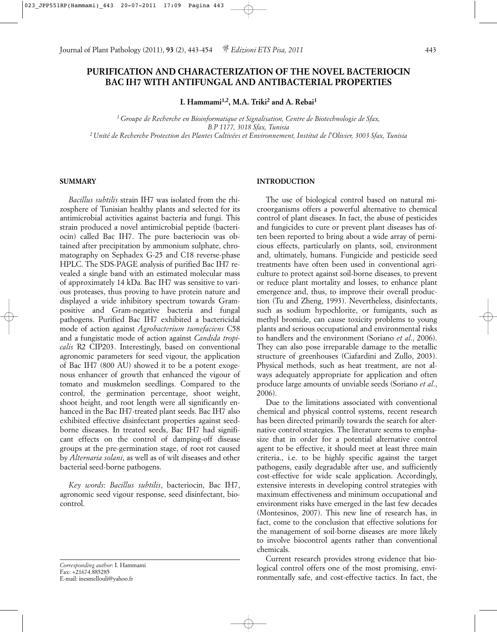# **PURIFICATION AND CHARACTERIZATION OF THE NOVEL BACTERIOCIN BAC IH7 WITH ANTIFUNGAL AND ANTIBACTERIAL PROPERTIES**

**I. Hammami1,2, M.A. Triki2 and A. Rebai1**

*1 Groupe de Recherche en Bioinformatique et Signalisation, Centre de Biotechnologie de Sfax, B.P 1177, 3018 Sfax, Tunisia 2 Unité de Recherche Protection des Plantes Cultivées et Environnement, Institut de l'Olivier, 3003 Sfax, Tunisia*

## **SUMMARY**

*Bacillus subtilis* strain IH7 was isolated from the rhizosphere of Tunisian healthy plants and selected for its antimicrobial activities against bacteria and fungi. This strain produced a novel antimicrobial peptide (bacteriocin) called Bac IH7. The pure bacteriocin was obtained after precipitation by ammonium sulphate, chromatography on Sephadex G-25 and C18 reverse-phase HPLC. The SDS-PAGE analysis of purified Bac IH7 revealed a single band with an estimated molecular mass of approximately 14 kDa. Bac IH7 was sensitive to various proteases, thus proving to have protein nature and displayed a wide inhibitory spectrum towards Grampositive and Gram-negative bacteria and fungal pathogens. Purified Bac IH7 exhibited a bactericidal mode of action against *Agrobacterium tumefaciens* C58 and a fungistatic mode of action against *Candida tropicalis* R2 CIP203. Interestingly, based on conventional agronomic parameters for seed vigour, the application of Bac IH7 (800 AU) showed it to be a potent exogenous enhancer of growth that enhanced the vigour of tomato and muskmelon seedlings. Compared to the control, the germination percentage, shoot weight, shoot height, and root length were all significantly enhanced in the Bac IH7-treated plant seeds. Bac IH7 also exhibited effective disinfectant properties against seedborne diseases. In treated seeds, Bac IH7 had significant effects on the control of damping-off disease groups at the pre-germination stage, of root rot caused by *Alternaria solani*, as well as of wilt diseases and other bacterial seed-borne pathogens.

*Key words*: *Bacillus subtilis*, bacteriocin, Bac IH7, agronomic seed vigour response, seed disinfectant, biocontrol.

*Corresponding author*: I. Hammami Fax: +21674.885285 E-mail: inesmellouli@yahoo.fr

# **INTRODUCTION**

The use of biological control based on natural microorganisms offers a powerful alternative to chemical control of plant diseases. In fact, the abuse of pesticides and fungicides to cure or prevent plant diseases has often been reported to bring about a wide array of pernicious effects, particularly on plants, soil, environment and, ultimately, humans. Fungicide and pesticide seed treatments have often been used in conventional agriculture to protect against soil-borne diseases, to prevent or reduce plant mortality and losses, to enhance plant emergence and, thus, to improve their overall production (Tu and Zheng, 1993). Nevertheless, disinfectants, such as sodium hypochlorite, or fumigants, such as methyl bromide, can cause toxicity problems to young plants and serious occupational and environmental risks to handlers and the environment (Soriano *et al*., 2006). They can also pose irreparable damage to the metallic structure of greenhouses (Ciafardini and Zullo, 2003). Physical methods, such as heat treatment, are not always adequately appropriate for application and often produce large amounts of unviable seeds (Soriano *et al*., 2006).

Due to the limitations associated with conventional chemical and physical control systems, recent research has been directed primarily towards the search for alternative control strategies. The literature seems to emphasize that in order for a potential alternative control agent to be effective, it should meet at least three main criteria., i.e. to be highly specific against the target pathogens, easily degradable after use, and sufficiently cost-effective for wide scale application. Accordingly, extensive interests in developing control strategies with maximum effectiveness and minimum occupational and environment risks have emerged in the last few decades (Montesinos, 2007). This new line of research has, in fact, come to the conclusion that effective solutions for the management of soil-borne diseases are more likely to involve biocontrol agents rather than conventional chemicals.

Current research provides strong evidence that biological control offers one of the most promising, environmentally safe, and cost-effective tactics. In fact, the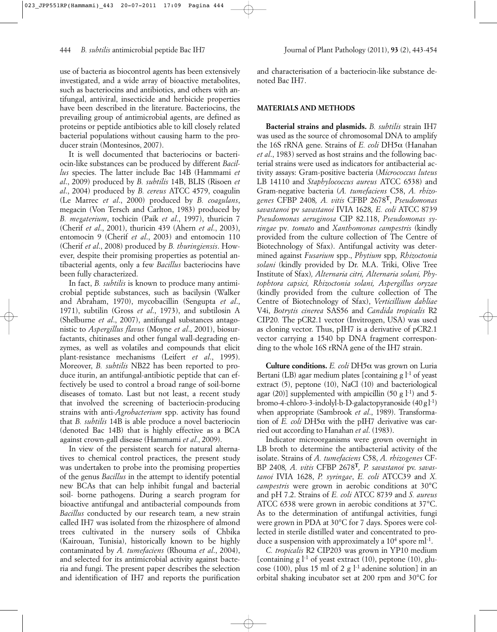use of bacteria as biocontrol agents has been extensively investigated, and a wide array of bioactive metabolites, such as bacteriocins and antibiotics, and others with antifungal, antiviral, insecticide and herbicide properties have been described in the literature. Bacteriocins, the prevailing group of antimicrobial agents, are defined as proteins or peptide antibiotics able to kill closely related bacterial populations without causing harm to the producer strain (Montesinos, 2007).

It is well documented that bacteriocins or bacteriocin-like substances can be produced by different *Bacillus* species. The latter include Bac 14B (Hammami *et al*., 2009) produced by *B. subtilis* 14B, BLIS (Risoen *et al*., 2004) produced by *B. cereus* ATCC 4579, coagulin (Le Marrec *et al*., 2000) produced by *B. coagulans*, megacin (Von Tersch and Carlton, 1983) produced by *B. megaterium*, tochicin (Paik *et al*., 1997), thuricin 7 (Cherif *et al*., 2001), thuricin 439 (Ahern *et al*., 2003), entomocin 9 (Cherif *et al*., 2003) and entomocin 110 (Cherif *et al*., 2008) produced by *B. thuringiensis*. However, despite their promising properties as potential antibacterial agents, only a few *Bacillus* bacteriocins have been fully characterized.

In fact, *B. subtilis* is known to produce many antimicrobial peptide substances, such as bacilysin (Walker and Abraham, 1970), mycobacillin (Sengupta *et al*., 1971), subtilin (Gross *et al*., 1973), and subtilosin A (Shelburne *et al*., 2007), antifungal substances antagonistic to *Aspergillus flavus* (Moyne *et al*., 2001), biosurfactants, chitinases and other fungal wall-degrading enzymes, as well as volatiles and compounds that elicit plant-resistance mechanisms (Leifert *et al*., 1995). Moreover, *B. subtilis* NB22 has been reported to produce iturin, an antifungal-antibiotic peptide that can effectively be used to control a broad range of soil-borne diseases of tomato. Last but not least, a recent study that involved the screening of bacteriocin-producing strains with anti-*Agrobacterium* spp. activity has found that *B. subtilis* 14B is able produce a novel bacteriocin (denoted Bac 14B) that is highly effective as a BCA against crown-gall disease (Hammami *et al*., 2009).

In view of the persistent search for natural alternatives to chemical control practices, the present study was undertaken to probe into the promising properties of the genus *Bacillus* in the attempt to identify potential new BCAs that can help inhibit fungal and bacterial soil- borne pathogens. During a search program for bioactive antifungal and antibacterial compounds from *Bacillus* conducted by our research team*,* a new strain called IH7 was isolated from the rhizosphere of almond trees cultivated in the nursery soils of Chbika (Kairouan, Tunisia), historically known to be highly contaminated by *A. tumefaciens* (Rhouma *et al*., 2004), and selected for its antimicrobial activity against bacteria and fungi. The present paper describes the selection and identification of IH7 and reports the purification and characterisation of a bacteriocin-like substance denoted Bac IH7.

### **MATERIALS AND METHODS**

**Bacterial strains and plasmids.** *B. subtilis* strain IH7 was used as the source of chromosomal DNA to amplify the 16S rRNA gene. Strains of *E. coli* DH5α (Hanahan *et al*., 1983) served as host strains and the following bacterial strains were used as indicators for antibacterial activity assays: Gram-positive bacteria (*Micrococcus luteus* LB 14110 and *Staphylococcus aureus* ATCC 6538) and Gram-negative bacteria (*A. tumefaciens* C58, *A. rhizogenes* CFBP 2408*, A. vitis* CFBP 2678**T**, *Pseudomonas savastanoi* pv *savastanoi* IVIA 1628*, E. coli* ATCC 8739 *Pseudomonas aeruginosa* CIP 82.118, *Pseudomonas syringae* pv*. tomato* and *Xanthomonas campestris* (kindly provided from the culture collection of The Centre of Biotechnology of Sfax). Antifungal activity was determined against *Fusarium* spp., *Phytium* spp*, Rhizoctonia solani* (kindly provided by Dr. M.A. Triki, Olive Tree Institute of Sfax)*, Alternaria citri, Alternaria solani, Phytophtora capsici, Rhizoctonia solani, Aspergillus oryzae* (kindly provided from the culture collection of The Centre of Biotechnology of Sfax), *Verticillium dahliae* V4i, *Botrytis cinerea* SAS56 and *Candida tropicalis* R2 CIP20*.* The pCR2.1 vector (Invitrogen, USA) was used as cloning vector. Thus, pIH7 is a derivative of pCR2.1 vector carrying a 1540 bp DNA fragment corresponding to the whole 16S rRNA gene of the IH7 strain.

**Culture conditions.** *E. coli* DH5α was grown on Luria Bertani (LB) agar medium plates [containing g  $l^{-1}$  of yeast extract (5), peptone (10), NaCl (10) and bacteriological agar (20)] supplemented with ampicillin (50 g  $l^{-1}$ ) and 5bromo-4-chloro-3-indolyl-b-D-galactopyranoside  $(40 g<sup>1-1</sup>)$ when appropriate (Sambrook *et al*., 1989). Transformation of *E. coli* DH5α with the pIH7 derivative was carried out according to Hanahan *et al*. (1983).

Indicator microorganisms were grown overnight in LB broth to determine the antibacterial activity of the isolate. Strains of *A. tumefaciens* C58, *A. rhizogenes* CF-BP 2408*, A. vitis* CFBP 2678**<sup>T</sup>***, P. savastanoi* pv. *savastanoi* IVIA 1628, *P. syringae*, *E. coli* ATCC39 and *X. campestris* were grown in aerobic conditions at 30°C and pH 7.2. Strains of *E. coli* ATCC 8739 and *S. aureus* ATCC 6538 were grown in aerobic conditions at 37°C. As to the determination of antifungal activities, fungi were grown in PDA at 30°C for 7 days. Spores were collected in sterile distilled water and concentrated to produce a suspension with approximately a  $10^4$  spore ml<sup>-1</sup>.

*C. tropicalis* R2 CIP203 was grown in YP10 medium [containing g  $l<sup>-1</sup>$  of yeast extract (10), peptone (10), glucose (100), plus 15 ml of 2 g  $l<sup>-1</sup>$  adenine solution] in an orbital shaking incubator set at 200 rpm and 30°C for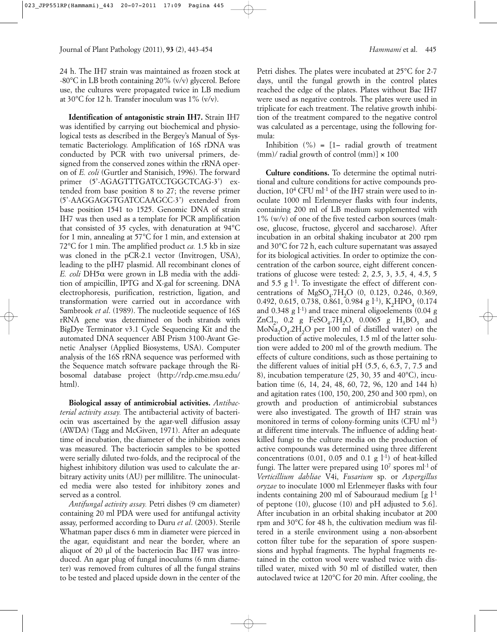24 h. The IH7 strain was maintained as frozen stock at -80°C in LB broth containing 20% (v/v) glycerol. Before use, the cultures were propagated twice in LB medium at 30 $\degree$ C for 12 h. Transfer inoculum was 1 $\degree$  (v/v).

**Identification of antagonistic strain IH7.** Strain IH7 was identified by carrying out biochemical and physiological tests as described in the Bergey's Manual of Systematic Bacteriology. Amplification of 16S rDNA was conducted by PCR with two universal primers, designed from the conserved zones within the rRNA operon of *E. coli* (Gurtler and Stanisich, 1996). The forward primer (5'-AGAGTTTGATCCTGGCTCAG-3') extended from base position 8 to 27; the reverse primer (5'-AAGGAGGTGATCCAAGCC-3') extended from base position 1541 to 1525. Genomic DNA of strain IH7 was then used as a template for PCR amplification that consisted of 35 cycles, with denaturation at 94°C for 1 min, annealing at 57°C for 1 min, and extension at 72°C for 1 min. The amplified product *ca.* 1.5 kb in size was cloned in the pCR-2.1 vector (Invitrogen, USA), leading to the pIH7 plasmid. All recombinant clones of *E. coli* DH5α were grown in LB media with the addition of ampicillin, IPTG and X-gal for screening. DNA electrophoresis, purification, restriction, ligation, and transformation were carried out in accordance with Sambrook *et al*. (1989). The nucleotide sequence of 16S rRNA gene was determined on both strands with BigDye Terminator v3.1 Cycle Sequencing Kit and the automated DNA sequencer ABI Prism 3100-Avant Genetic Analyser (Applied Biosystems, USA). Computer analysis of the 16S rRNA sequence was performed with the Sequence match software package through the Ribosomal database project (http://rdp.cme.msu.edu/ html).

**Biological assay of antimicrobial activities.** *Antibacterial activity assay.* The antibacterial activity of bacteriocin was ascertained by the agar-well diffusion assay (AWDA) (Tagg and McGiven, 1971). After an adequate time of incubation, the diameter of the inhibition zones was measured. The bacteriocin samples to be spotted were serially diluted two-folds, and the reciprocal of the highest inhibitory dilution was used to calculate the arbitrary activity units (AU) per millilitre. The uninoculated media were also tested for inhibitory zones and served as a control.

*Antifungal activity assay.* Petri dishes (9 cm diameter) containing 20 ml PDA were used for antifungal activity assay, performed according to Duru *et al*. (2003). Sterile Whatman paper discs 6 mm in diameter were pierced in the agar, equidistant and near the border, where an aliquot of 20 µl of the bacteriocin Bac IH7 was introduced. An agar plug of fungal inoculums (6 mm diameter) was removed from cultures of all the fungal strains to be tested and placed upside down in the center of the Petri dishes. The plates were incubated at 25°C for 2-7 days, until the fungal growth in the control plates reached the edge of the plates. Plates without Bac IH7 were used as negative controls. The plates were used in triplicate for each treatment. The relative growth inhibition of the treatment compared to the negative control was calculated as a percentage, using the following formula:

Inhibition  $(\%) = [1 - \text{ radial growth of treatment}]$  $\text{(mm)}$  radial growth of control  $\text{(mm)}$   $\times$  100

**Culture conditions.** To determine the optimal nutritional and culture conditions for active compounds production,  $10^4$  CFU ml<sup>-1</sup> of the IH7 strain were used to inoculate 1000 ml Erlenmeyer flasks with four indents, containing 200 ml of LB medium supplemented with  $1\%$  (w/v) of one of the five tested carbon sources (maltose, glucose, fructose, glycerol and saccharose). After incubation in an orbital shaking incubator at 200 rpm and 30°C for 72 h, each culture supernatant was assayed for its biological activities. In order to optimize the concentration of the carbon source, eight different concentrations of glucose were tested: 2, 2.5, 3, 3.5, 4, 4.5, 5 and 5.5 g  $l<sup>-1</sup>$ . To investigate the effect of different concentrations of  $MgSO_4.7H_2O$  (0, 0.123, 0.246, 0.369, 0.492, 0.615, 0.738, 0.861, 0.984 g l<sup>-1</sup>), K<sub>2</sub>HPO<sub>4</sub> (0.174) and  $0.348$  g  $\vert$ <sup>-1</sup>) and trace mineral oligoelements (0.04 g ZnCl<sub>2</sub>, 0.2 g FeSO<sub>4</sub>.7H<sub>2</sub>O, 0.0065 g H<sub>3</sub>BO<sub>3</sub> and  $MoNa<sub>2</sub>O<sub>4</sub>$ .2H<sub>2</sub>O per 100 ml of distilled water) on the production of active molecules, 1.5 ml of the latter solution were added to 200 ml of the growth medium. The effects of culture conditions, such as those pertaining to the different values of initial pH (5.5, 6, 6.5, 7, 7.5 and 8), incubation temperature (25, 30, 35 and 40°C), incubation time (6, 14, 24, 48, 60, 72, 96, 120 and 144 h) and agitation rates (100, 150, 200, 250 and 300 rpm), on growth and production of antimicrobial substances were also investigated. The growth of IH7 strain was monitored in terms of colony-forming units (CFU ml<sup>-1</sup>) at different time intervals. The influence of adding heatkilled fungi to the culture media on the production of active compounds was determined using three different concentrations  $(0.01, 0.05, 0.01, g l<sup>-1</sup>)$  of heat-killed fungi. The latter were prepared using  $10^7$  spores ml<sup>-1</sup> of *Verticillium dahliae* V4i, *Fusarium* sp. or *Aspergillus oryzae* to inoculate 1000 ml Erlenmeyer flasks with four indents containing 200 ml of Sabouraud medium  $[g]$ <sup>1</sup> of peptone (10), glucose (10) and pH adjusted to 5.6]. After incubation in an orbital shaking incubator at 200 rpm and 30°C for 48 h, the cultivation medium was filtered in a sterile environment using a non-absorbent cotton filter tube for the separation of spore suspensions and hyphal fragments. The hyphal fragments retained in the cotton wool were washed twice with distilled water, mixed with 50 ml of distilled water, then autoclaved twice at 120°C for 20 min. After cooling, the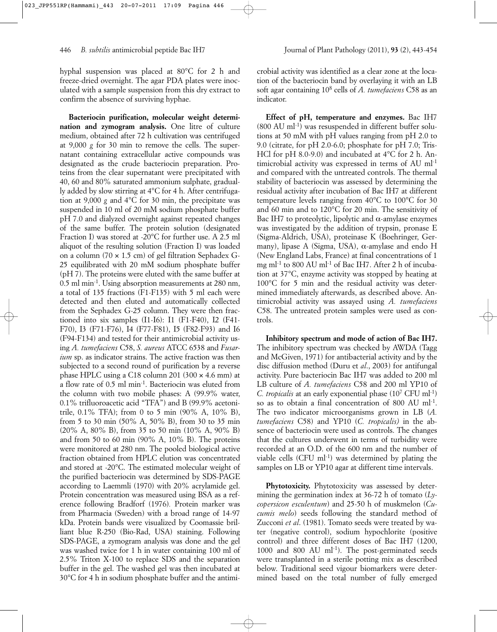hyphal suspension was placed at 80°C for 2 h and freeze-dried overnight. The agar PDA plates were inoculated with a sample suspension from this dry extract to confirm the absence of surviving hyphae.

**Bacteriocin purification, molecular weight determination and zymogram analysis.** One litre of culture medium, obtained after 72 h cultivation was centrifuged at 9,000 *g* for 30 min to remove the cells. The supernatant containing extracellular active compounds was designated as the crude bacteriocin preparation. Proteins from the clear supernatant were precipitated with 40, 60 and 80% saturated ammonium sulphate, gradually added by slow stirring at 4°C for 4 h. After centrifugation at 9,000 *g* and 4°C for 30 min, the precipitate was suspended in 10 ml of 20 mM sodium phosphate buffer pH 7.0 and dialyzed overnight against repeated changes of the same buffer. The protein solution (designated Fraction I) was stored at -20°C for further use. A 2.5 ml aliquot of the resulting solution (Fraction I) was loaded on a column (70  $\times$  1.5 cm) of gel filtration Sephadex G-25 equilibrated with 20 mM sodium phosphate buffer (pH 7). The proteins were eluted with the same buffer at 0.5 ml min-1. Using absorption measurements at 280 nm, a total of 135 fractions (F1-F135) with 5 ml each were detected and then eluted and automatically collected from the Sephadex G-25 column. They were then fractioned into six samples (I1-I6): I1 (F1-F40), I2 (F41- F70), I3 (F71-F76), I4 (F77-F81), I5 (F82-F93) and I6 (F94-F134) and tested for their antimicrobial activity using *A. tumefaciens* C58, *S. aureus* ATCC 6538 and *Fusarium* sp. as indicator strains. The active fraction was then subjected to a second round of purification by a reverse phase HPLC using a C18 column 201 (300 × 4.6 mm) at a flow rate of 0.5 ml min-1. Bacteriocin was eluted from the column with two mobile phases: A (99.9% water, 0.1% trifluoroacetic acid "TFA") and B (99.9% acetonitrile, 0.1% TFA); from 0 to 5 min (90% A, 10% B), from 5 to 30 min (50% A, 50% B), from 30 to 35 min (20% A, 80% B), from 35 to 50 min (10% A, 90% B) and from 50 to 60 min (90% A, 10% B). The proteins were monitored at 280 nm. The pooled biological active fraction obtained from HPLC elution was concentrated and stored at -20°C. The estimated molecular weight of the purified bacteriocin was determined by SDS-PAGE according to Laemmli (1970) with 20% acrylamide gel. Protein concentration was measured using BSA as a reference following Bradforf (1976)*.* Protein marker was from Pharmacia (Sweden) with a broad range of 14-97 kDa. Protein bands were visualized by Coomassie brilliant blue R-250 (Bio-Rad, USA) staining. Following SDS-PAGE, a zymogram analysis was done and the gel was washed twice for 1 h in water containing 100 ml of 2.5% Triton X-100 to replace SDS and the separation buffer in the gel. The washed gel was then incubated at 30°C for 4 h in sodium phosphate buffer and the antimicrobial activity was identified as a clear zone at the location of the bacteriocin band by overlaying it with an LB soft agar containing 108 cells of *A. tumefaciens* C58 as an indicator.

**Effect of pH, temperature and enzymes.** Bac IH7  $(800 \text{ AU } \text{ml}^{-1})$  was resuspended in different buffer solutions at 50 mM with pH values ranging from pH 2.0 to 9.0 (citrate, for pH 2.0-6.0; phosphate for pH 7.0; Tris-HCl for pH 8.0-9.0) and incubated at 4°C for 2 h. Antimicrobial activity was expressed in terms of AU ml-1 and compared with the untreated controls. The thermal stability of bacteriocin was assessed by determining the residual activity after incubation of Bac IH7 at different temperature levels ranging from 40°C to 100°C for 30 and 60 min and to 120°C for 20 min. The sensitivity of Bac IH7 to proteolytic, lipolytic and  $\alpha$ -amylase enzymes was investigated by the addition of trypsin, pronase E (Sigma-Aldrich, USA), proteinase K (Boehringer, Germany), lipase A (Sigma, USA),  $\alpha$ -amylase and endo H (New England Labs, France) at final concentrations of 1 mg ml-1 to 800 AU ml-1 of Bac IH7. After 2 h of incubation at 37°C, enzyme activity was stopped by heating at 100°C for 5 min and the residual activity was determined immediately afterwards, as described above. Antimicrobial activity was assayed using *A. tumefaciens* C58. The untreated protein samples were used as controls.

**Inhibitory spectrum and mode of action of Bac IH7.** The inhibitory spectrum was checked by AWDA (Tagg and McGiven, 1971) for antibacterial activity and by the disc diffusion method (Duru et *al*., 2003) for antifungal activity. Pure bacteriocin Bac IH7 was added to 200 ml LB culture of *A. tumefaciens* C58 and 200 ml YP10 of *C. tropicalis* at an early exponential phase (10<sup>7</sup> CFU ml<sup>-1</sup>) so as to obtain a final concentration of 800 AU ml<sup>-1</sup>. The two indicator microorganisms grown in LB (*A. tumefaciens* C58) and YP10 (*C. tropicalis)* in the absence of bacteriocin were used as controls. The changes that the cultures underwent in terms of turbidity were recorded at an O.D. of the 600 nm and the number of viable cells  $(CFU \text{ ml-1})$  was determined by plating the samples on LB or YP10 agar at different time intervals.

**Phytotoxicity.** Phytotoxicity was assessed by determining the germination index at 36-72 h of tomato (*Lycopersicon esculentum*) and 25-50 h of muskmelon (*Cucumis melo*) seeds following the standard method of Zucconi *et al*. (1981). Tomato seeds were treated by water (negative control), sodium hypochlorite (positive control) and three different doses of Bac IH7 (1200, 1000 and 800 AU ml<sup>-1</sup>). The post-germinated seeds were transplanted in a sterile potting mix as described below. Traditional seed vigour biomarkers were determined based on the total number of fully emerged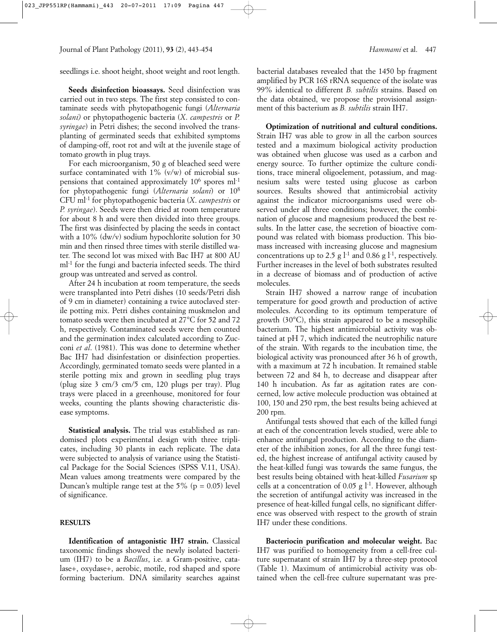seedlings i.e. shoot height, shoot weight and root length.

**Seeds disinfection bioassays.** Seed disinfection was carried out in two steps. The first step consisted to contaminate seeds with phytopathogenic fungi (*Alternaria solani)* or phytopathogenic bacteria (*X*. *campestris* or *P. syringae*) in Petri dishes; the second involved the transplanting of germinated seeds that exhibited symptoms of damping-off, root rot and wilt at the juvenile stage of tomato growth in plug trays.

For each microorganism, 50 g of bleached seed were surface contaminated with  $1\%$  (v/w) of microbial suspensions that contained approximately 10<sup>6</sup> spores ml<sup>-1</sup> for phytopathogenic fungi (*Alternaria solani*) or 108 CFU ml-1 for phytopathogenic bacteria (*X*. *campestris* or *P. syringae*). Seeds were then dried at room temperature for about 8 h and were then divided into three groups. The first was disinfected by placing the seeds in contact with a 10% (dw/v) sodium hypochlorite solution for 30 min and then rinsed three times with sterile distilled water. The second lot was mixed with Bac IH7 at 800 AU ml-1 for the fungi and bacteria infected seeds. The third group was untreated and served as control.

After 24 h incubation at room temperature, the seeds were transplanted into Petri dishes (10 seeds/Petri dish of 9 cm in diameter) containing a twice autoclaved sterile potting mix. Petri dishes containing muskmelon and tomato seeds were then incubated at 27°C for 52 and 72 h, respectively. Contaminated seeds were then counted and the germination index calculated according to Zucconi *et al*. (1981). This was done to determine whether Bac IH7 had disinfestation or disinfection properties. Accordingly, germinated tomato seeds were planted in a sterile potting mix and grown in seedling plug trays (plug size 3 cm/3 cm/5 cm, 120 plugs per tray). Plug trays were placed in a greenhouse, monitored for four weeks, counting the plants showing characteristic disease symptoms.

**Statistical analysis.** The trial was established as randomised plots experimental design with three triplicates, including 30 plants in each replicate. The data were subjected to analysis of variance using the Statistical Package for the Social Sciences (SPSS V.11, USA). Mean values among treatments were compared by the Duncan's multiple range test at the  $5\%$  (p = 0.05) level of significance.

#### **RESULTS**

**Identification of antagonistic IH7 strain.** Classical taxonomic findings showed the newly isolated bacterium (IH7) to be a *Bacillus*, i.e. a Gram-positive, catalase+, oxydase+, aerobic, motile, rod shaped and spore forming bacterium. DNA similarity searches against bacterial databases revealed that the 1450 bp fragment amplified by PCR 16S rRNA sequence of the isolate was 99% identical to different *B. subtilis* strains. Based on the data obtained, we propose the provisional assignment of this bacterium as *B. subtilis* strain IH7.

**Optimization of nutritional and cultural conditions.** Strain IH7 was able to grow in all the carbon sources tested and a maximum biological activity production was obtained when glucose was used as a carbon and energy source. To further optimize the culture conditions, trace mineral oligoelement, potassium, and magnesium salts were tested using glucose as carbon sources. Results showed that antimicrobial activity against the indicator microorganisms used were observed under all three conditions; however, the combination of glucose and magnesium produced the best results. In the latter case, the secretion of bioactive compound was related with biomass production. This biomass increased with increasing glucose and magnesium concentrations up to 2.5 g  $l<sup>-1</sup>$  and 0.86 g  $l<sup>-1</sup>$ , respectively. Further increases in the level of both substrates resulted in a decrease of biomass and of production of active molecules.

Strain IH7 showed a narrow range of incubation temperature for good growth and production of active molecules. According to its optimum temperature of growth (30°C), this strain appeared to be a mesophilic bacterium. The highest antimicrobial activity was obtained at pH 7, which indicated the neutrophilic nature of the strain. With regards to the incubation time, the biological activity was pronounced after 36 h of growth, with a maximum at 72 h incubation. It remained stable between 72 and 84 h, to decrease and disappear after 140 h incubation. As far as agitation rates are concerned, low active molecule production was obtained at 100, 150 and 250 rpm, the best results being achieved at 200 rpm.

Antifungal tests showed that each of the killed fungi at each of the concentration levels studied, were able to enhance antifungal production. According to the diameter of the inhibition zones, for all the three fungi tested, the highest increase of antifungal activity caused by the heat-killed fungi was towards the same fungus, the best results being obtained with heat-killed *Fusarium* sp cells at a concentration of 0.05 g  $l^{-1}$ . However, although the secretion of antifungal activity was increased in the presence of heat-killed fungal cells, no significant difference was observed with respect to the growth of strain IH7 under these conditions.

**Bacteriocin purification and molecular weight.** Bac IH7 was purified to homogeneity from a cell-free culture supernatant of strain IH7 by a three-step protocol (Table 1). Maximum of antimicrobial activity was obtained when the cell-free culture supernatant was pre-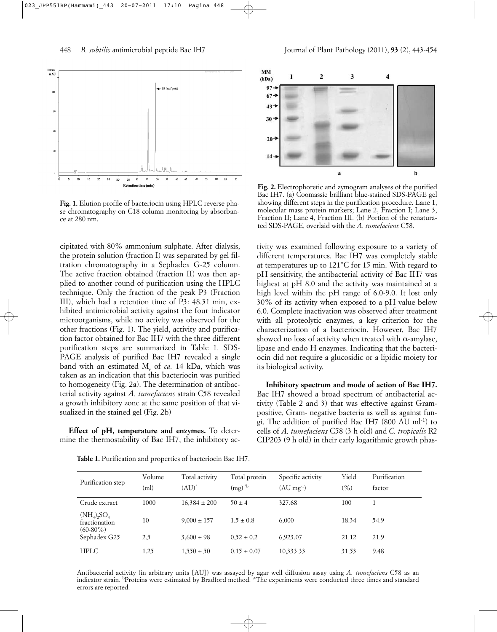

**Fig. 1.** Elution profile of bacteriocin using HPLC reverse phase chromatography on C18 column monitoring by absorbance at 280 nm.

cipitated with 80% ammonium sulphate. After dialysis, the protein solution (fraction I) was separated by gel filtration chromatography in a Sephadex G-25 column. The active fraction obtained (fraction II) was then applied to another round of purification using the HPLC technique. Only the fraction of the peak P3 (Fraction III), which had a retention time of P3: 48.31 min, exhibited antimicrobial activity against the four indicator microorganisms, while no activity was observed for the other fractions (Fig. 1). The yield, activity and purification factor obtained for Bac IH7 with the three different purification steps are summarized in Table 1. SDS-PAGE analysis of purified Bac IH7 revealed a single band with an estimated M<sub>r</sub> of *ca*. 14 kDa, which was taken as an indication that this bacteriocin was purified to homogeneity (Fig. 2a). The determination of antibacterial activity against *A. tumefaciens* strain C58 revealed a growth inhibitory zone at the same position of that visualized in the stained gel (Fig. 2b)

**Effect of pH, temperature and enzymes.** To determine the thermostability of Bac IH7, the inhibitory ac-

**Table 1.** Purification and properties of bacteriocin Bac IH7.



**Fig. 2.** Electrophoretic and zymogram analyses of the purified Bac IH7. (a) Coomassie brilliant blue-stained SDS-PAGE gel showing different steps in the purification procedure. Lane 1, molecular mass protein markers; Lane 2, Fraction I; Lane 3, Fraction II; Lane 4, Fraction III. (b) Portion of the renaturated SDS-PAGE, overlaid with the *A. tumefaciens* C58.

tivity was examined following exposure to a variety of different temperatures. Bac IH7 was completely stable at temperatures up to 121°C for 15 min. With regard to pH sensitivity, the antibacterial activity of Bac IH7 was highest at pH 8.0 and the activity was maintained at a high level within the pH range of 6.0-9.0. It lost only 30% of its activity when exposed to a pH value below 6.0. Complete inactivation was observed after treatment with all proteolytic enzymes, a key criterion for the characterization of a bacteriocin. However, Bac IH7 showed no loss of activity when treated with  $\alpha$ -amylase, lipase and endo H enzymes. Indicating that the bacteriocin did not require a glucosidic or a lipidic moiety for its biological activity.

**Inhibitory spectrum and mode of action of Bac IH7.** Bac IH7 showed a broad spectrum of antibacterial activity (Table 2 and 3) that was effective against Grampositive, Gram- negative bacteria as well as against fungi. The addition of purified Bac IH7 (800 AU ml-1) to cells of *A. tumefaciens* C58 (3 h old) and *C. tropicalis* R2 CIP203 (9 h old) in their early logarithmic growth phas-

| Purification step                                                     | Volume<br>(ml) | Total activity<br>$(AU)^*$ | Total protein<br>$(mg)^{*b}$ | Specific activity<br>$(AU \text{ mg}^{-1})$ | Yield<br>$( \% )$ | Purification<br>factor |
|-----------------------------------------------------------------------|----------------|----------------------------|------------------------------|---------------------------------------------|-------------------|------------------------|
| Crude extract                                                         | 1000           | $16,384 \pm 200$           | $50 \pm 4$                   | 327.68                                      | 100               |                        |
| $(NH_4)$ <sub>2</sub> SO <sub>4</sub><br>fractionation<br>$(60-80\%)$ | 10             | $9,000 \pm 157$            | $1.5 \pm 0.8$                | 6,000                                       | 18.34             | 54.9                   |
| Sephadex G25                                                          | 2.5            | $3,600 \pm 98$             | $0.52 \pm 0.2$               | 6,923.07                                    | 21.12             | 21.9                   |
| <b>HPLC</b>                                                           | 1.25           | $1,550 \pm 50$             | $0.15 \pm 0.07$              | 10,333.33                                   | 31.53             | 9.48                   |

Antibacterial activity (in arbitrary units [AU]) was assayed by agar well diffusion assay using *A. tumefaciens* C58 as an indicator strain. b Proteins were estimated by Bradford method. \*The experiments were conducted three times and standard errors are reported.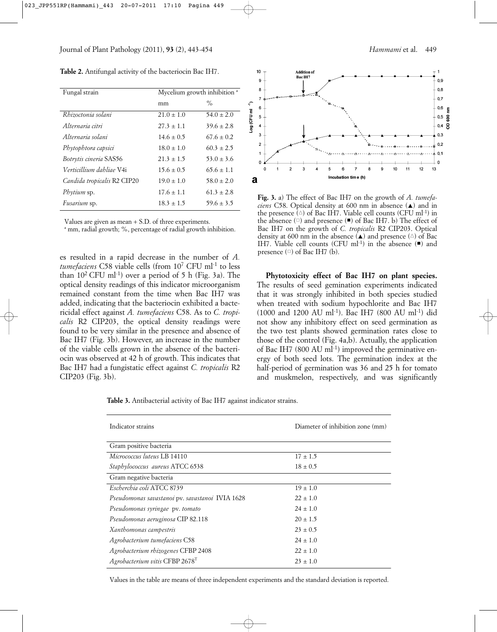**Table 2.** Antifungal activity of the bacteriocin Bac IH7.

| Fungal strain                 | Mycelium growth inhibition <sup>a</sup> |                |  |  |
|-------------------------------|-----------------------------------------|----------------|--|--|
|                               | mm                                      | $\%$           |  |  |
| Rhizoctonia solani            | $21.0 \pm 1.0$                          | $54.0 \pm 2.0$ |  |  |
| Alternaria citri              | $27.3 \pm 1.1$                          | $39.6 \pm 2.8$ |  |  |
| Alternaria solani             | $14.6 \pm 0.5$                          | $67.6 \pm 0.2$ |  |  |
| Phytophtora capsici           | $18.0 \pm 1.0$                          | $60.3 \pm 2.5$ |  |  |
| <i>Botrytis cineria</i> SAS56 | $21.3 \pm 1.5$                          | $53.0 \pm 3.6$ |  |  |
| Verticillium dahliae V4i      | $15.6 \pm 0.5$                          | $65.6 \pm 1.1$ |  |  |
| Candida tropicalis R2 CIP20   | $19.0 \pm 1.0$                          | $58.0 \pm 2.0$ |  |  |
| Phytium sp.                   | $17.6 \pm 1.1$                          | $61.3 \pm 2.8$ |  |  |
| Fusarium sp.                  | $18.3 \pm 1.5$                          | $59.6 \pm 3.5$ |  |  |

Values are given as mean + S.D. of three experiments.

a mm, radial growth; %, percentage of radial growth inhibition.

es resulted in a rapid decrease in the number of *A. tumefaciens* C58 viable cells (from 107 CFU ml-1 to less than  $10^2$  CFU ml<sup>-1</sup>) over a period of 5 h (Fig. 3a). The optical density readings of this indicator microorganism remained constant from the time when Bac IH7 was added, indicating that the bacteriocin exhibited a bactericidal effect against *A. tumefaciens* C58. As to *C. tropicalis* R2 CIP203, the optical density readings were found to be very similar in the presence and absence of Bac IH7 (Fig. 3b). However, an increase in the number of the viable cells grown in the absence of the bacteriocin was observed at 42 h of growth. This indicates that Bac IH7 had a fungistatic effect against *C. tropicalis* R2 CIP203 (Fig. 3b).



**Fig. 3.** a) The effect of Bac IH7 on the growth of *A. tumefa*ciens C58. Optical density at 600 nm in absence (A) and in the presence  $(\triangle)$  of Bac IH7. Viable cell counts (CFU ml<sup>-1</sup>) in the absence  $(\square)$  and presence  $(\blacksquare)$  of Bac IH7. b) The effect of Bac IH7 on the growth of *C. tropicalis* R2 CIP203. Optical density at 600 nm in the absence  $(A)$  and presence  $(A)$  of Bac IH7. Viable cell counts (CFU ml<sup>-1</sup>) in the absence  $($ **=**) and presence  $(\square)$  of Bac IH7 (b).

**Phytotoxicity effect of Bac IH7 on plant species.** The results of seed gemination experiments indicated that it was strongly inhibited in both species studied when treated with sodium hypochlorite and Bac IH7 (1000 and 1200 AU ml-1). Bac IH7 (800 AU ml-1) did not show any inhibitory effect on seed germination as the two test plants showed germination rates close to those of the control (Fig. 4a,b). Actually, the application of Bac IH7 (800 AU ml $^{-1}$ ) improved the germinative energy of both seed lots. The germination index at the half-period of germination was 36 and 25 h for tomato and muskmelon, respectively, and was significantly

**Table 3.** Antibacterial activity of Bac IH7 against indicator strains.

| Indicator strains                               | Diameter of inhibition zone (mm) |
|-------------------------------------------------|----------------------------------|
| Gram positive bacteria                          |                                  |
| Micrococcus luteus LB 14110                     | $17 \pm 1.5$                     |
| Staphylococcus aureus ATCC 6538                 | $18 \pm 0.5$                     |
| Gram negative bacteria                          |                                  |
| Escherchia coli ATCC 8739                       | $19 \pm 1.0$                     |
| Pseudomonas savastanoi pv. savastanoi IVIA 1628 | $22 \pm 1.0$                     |
| Pseudomonas syringae pv. tomato                 | $24 \pm 1.0$                     |
| Pseudomonas aeruginosa CIP 82.118               | $20 \pm 1.5$                     |
| Xanthomonas campestris                          | $23 \pm 0.5$                     |
| Agrobacterium tumefaciens C58                   | $24 \pm 1.0$                     |
| Agrobacterium rhizogenes CFBP 2408              | $22 \pm 1.0$                     |
| Agrobacterium vitis CFBP 2678 <sup>T</sup>      | $23 \pm 1.0$                     |

Values in the table are means of three independent experiments and the standard deviation is reported.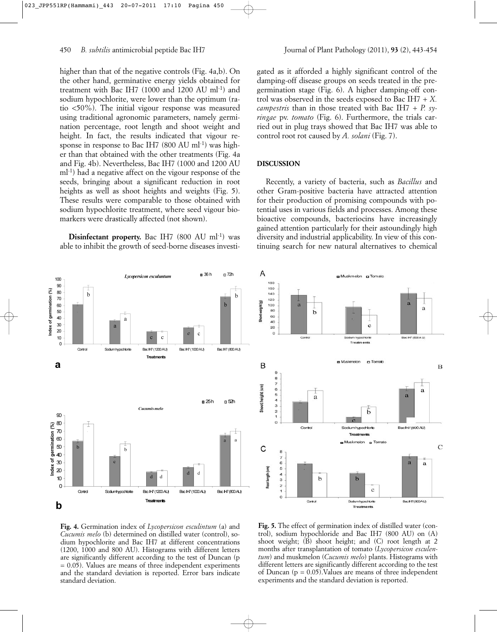higher than that of the negative controls (Fig. 4a,b). On the other hand, germinative energy yields obtained for treatment with Bac IH7 (1000 and 1200 AU ml-1) and sodium hypochlorite, were lower than the optimum (ratio <50%). The initial vigour response was measured using traditional agronomic parameters, namely germination percentage, root length and shoot weight and height. In fact, the results indicated that vigour response in response to Bac IH7  $(800 \text{ AU } \text{ml}^{-1})$  was higher than that obtained with the other treatments (Fig. 4a and Fig. 4b). Nevertheless, Bac IH7 (1000 and 1200 AU ml-1) had a negative affect on the vigour response of the seeds, bringing about a significant reduction in root heights as well as shoot heights and weights (Fig. 5). These results were comparable to those obtained with sodium hypochlorite treatment, where seed vigour biomarkers were drastically affected (not shown).

**Disinfectant property.** Bac IH7 (800 AU ml<sup>-1</sup>) was able to inhibit the growth of seed-borne diseases investigated as it afforded a highly significant control of the damping-off disease groups on seeds treated in the pregermination stage (Fig. 6). A higher damping-off control was observed in the seeds exposed to Bac IH7 + *X. campestris* than in those treated with Bac IH7 + *P. syringae* pv. *tomato* (Fig. 6). Furthermore, the trials carried out in plug trays showed that Bac IH7 was able to control root rot caused by *A. solani* (Fig. 7).

#### **DISCUSSION**

Recently, a variety of bacteria, such as *Bacillus* and other Gram-positive bacteria have attracted attention for their production of promising compounds with potential uses in various fields and processes. Among these bioactive compounds, bacteriocins have increasingly gained attention particularly for their astoundingly high diversity and industrial applicability. In view of this continuing search for new natural alternatives to chemical





**Fig. 4.** Germination index of *Lycopersicon esculintum* (a) and *Cucumis melo* (b) determined on distilled water (control), sodium hypochlorite and Bac IH7 at different concentrations (1200, 1000 and 800 AU). Histograms with different letters are significantly different according to the test of Duncan (p = 0.05). Values are means of three independent experiments and the standard deviation is reported. Error bars indicate standard deviation.

**Fig. 5.** The effect of germination index of distilled water (control), sodium hypochloride and Bac IH7 (800 AU) on (A) shoot weight; (B) shoot height; and (C) root length at 2 months after transplantation of tomato (*Lycopersicon esculentum*) and muskmelon (*Cucumis melo*) plants. Histograms with different letters are significantly different according to the test of Duncan ( $p = 0.05$ ). Values are means of three independent experiments and the standard deviation is reported.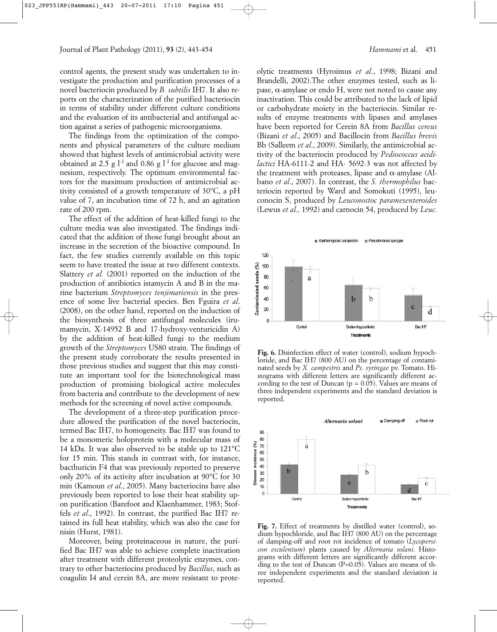control agents, the present study was undertaken to investigate the production and purification processes of a novel bacteriocin produced by *B. subtilis* IH7. It also reports on the characterization of the purified bacteriocin in terms of stability under different culture conditions and the evaluation of its antibacterial and antifungal action against a series of pathogenic microorganisms.

The findings from the optimization of the components and physical parameters of the culture medium showed that highest levels of antimicrobial activity were obtained at 2.5 g  $l<sup>-1</sup>$  and 0.86 g  $l<sup>-1</sup>$  for glucose and magnesium, respectively. The optimum environmental factors for the maximum production of antimicrobial activity consisted of a growth temperature of 30°C, a pH value of 7, an incubation time of 72 h, and an agitation rate of 200 rpm.

The effect of the addition of heat-killed fungi to the culture media was also investigated. The findings indicated that the addition of those fungi brought about an increase in the secretion of the bioactive compound. In fact, the few studies currently available on this topic seem to have treated the issue at two different contexts. Slattery *et al.* (2001) reported on the induction of the production of antibiotics istamycin A and B in the marine bacterium *Streptomyces tenjimariensis* in the presence of some live bacterial species. Ben Fguira *et al*. (2008), on the other hand, reported on the induction of the biosynthesis of three antifungal molecules (irumamycin, X-14952 B and 17-hydroxy-venturicidin A) by the addition of heat-killed fungi to the medium growth of the *Streptomyces* US80 strain. The findings of the present study corroborate the results presented in those previous studies and suggest that this may constitute an important tool for the biotechnological mass production of promising biological active molecules from bacteria and contribute to the development of new methods for the screening of novel active compounds.

The development of a three-step purification procedure allowed the purification of the novel bacteriocin, termed Bac IH7, to homogeneity. Bac IH7 was found to be a monomeric holoprotein with a molecular mass of 14 kDa. It was also observed to be stable up to 121°C for 15 min. This stands in contrast with, for instance, bacthuricin F4 that was previously reported to preserve only 20% of its activity after incubation at 90°C for 30 min (Kamoun *et al*., 2005). Many bacteriocins have also previously been reported to lose their heat stability upon purification (Barefoot and Klaenhammer, 1983; Stoffels *et al*., 1992). In contrast, the purified Bac IH7 retained its full heat stability, which was also the case for nisin (Hurst, 1981).

Moreover, being proteinaceous in nature, the purified Bac IH7 was able to achieve complete inactivation after treatment with different proteolytic enzymes, contrary to other bacteriocins produced by *Bacillus*, such as coagulin I4 and cerein 8A, are more resistant to proteolytic treatments (Hyroimus *et al*., 1998; Bizani and Brandelli, 2002).The other enzymes tested, such as lipase,  $\alpha$ -amylase or endo H, were not noted to cause any inactivation. This could be attributed to the lack of lipid or carbohydrate moiety in the bacteriocin. Similar results of enzyme treatments with lipases and amylases have been reported for Cerein 8A from *Bacillus cereus* (Bizani *et al*., 2005) and Bacillocin from *Bacillus brevis* Bb (Salleem *et al*., 2009). Similarly, the antimicrobial activity of the bacteriocin produced by *Pediococcus acidilactici* HA-6111-2 and HA- 5692-3 was not affected by the treatment with proteases, lipase and α-amylase (Albano *et al*., 2007). In contrast, the *S. thermophilus* bacteriocin reported by Ward and Somokuti (1995), leuconocin S, produced by *Leuconostoc paramesenteroides* (Lewus *et al.,* 1992) and carnocin 54, produced by *Leuc.*



**Fig. 6.** Disinfection effect of water (control), sodium hypochloride, and Bac IH7 (800 AU) on the percentage of contaminated seeds by *X. campestris* and *Ps. syringae* pv. Tomato. Histograms with different letters are significantly different according to the test of Duncan ( $p = 0.05$ ). Values are means of three independent experiments and the standard deviation is reported.



**Fig. 7.** Effect of treatments by distilled water (control), sodium hypochloride, and Bac IH7 (800 AU) on the percentage of damping-off and root rot incidence of tomato (*Lycopersicon esculentum*) plants caused by *Alternaria solani*. Histograms with different letters are significantly different according to the test of Duncan (P=0.05). Values are means of three independent experiments and the standard deviation is reported.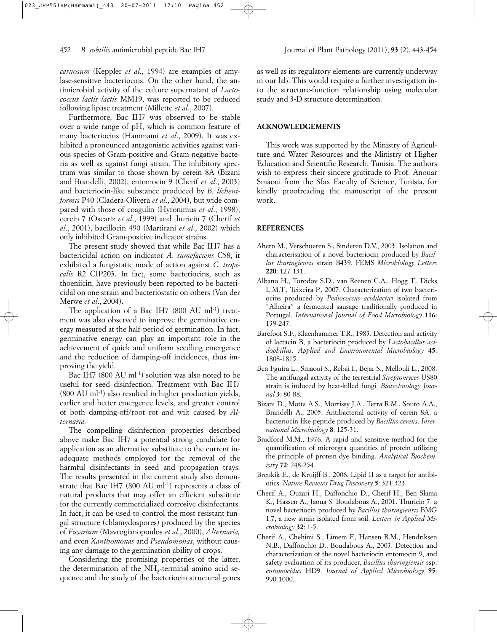*carnosum* (Keppler *et al*., 1994) are examples of amylase-sensitive bacteriocins. On the other hand, the antimicrobial activity of the culture supernatant of *Lactococcus lactis lactis* MM19, was reported to be reduced following lipase treatment (Millette *et al*., 2007).

Furthermore, Bac IH7 was observed to be stable over a wide range of pH, which is common feature of many bacteriocins (Hammami *et al*., 2009). It was exhibited a pronounced antagonistic activities against various species of Gram-positive and Gram-negative bacteria as well as against fungi strain. The inhibitory spectrum was similar to those shown by cerein 8A (Bizani and Brandelli, 2002), entomocin 9 (Cherif *et al*., 2003) and bacteriocin-like substance produced by *B. licheniformis* P40 (Cladera-Olivera *et al*., 2004), but wide compared with those of coagulin (Hyronimus *et al*., 1998), cerein 7 (Oscariz *et al*., 1999) and thuricin 7 (Cherif *et al*., 2001), bacillocin 490 (Martirani *et al*., 2002) which only inhibited Gram-positive indicator strains.

The present study showed that while Bac IH7 has a bactericidal action on indicator *A. tumefaciens* C58, it exhibited a fungistatic mode of action against *C. tropicalis* R2 CIP203. In fact, some bacteriocins, such as thoeniicin, have previously been reported to be bactericidal on one strain and bacteriostatic on others (Van der Merwe *et al*., 2004).

The application of a Bac IH7  $(800 \text{ AU } \text{ml}^{-1})$  treatment was also observed to improve the germinative energy measured at the half-period of germination. In fact, germinative energy can play an important role in the achievement of quick and uniform seedling emergence and the reduction of damping-off incidences, thus improving the yield.

Bac IH7 (800 AU ml<sup>-1</sup>) solution was also noted to be useful for seed disinfection. Treatment with Bac IH7 (800 AU ml-1) also resulted in higher production yields, earlier and better emergence levels, and greater control of both damping-off/root rot and wilt caused by *Alternaria.*

The compelling disinfection properties described above make Bac IH7 a potential strong candidate for application as an alternative substitute to the current inadequate methods employed for the removal of the harmful disinfectants in seed and propagation trays. The results presented in the current study also demonstrate that Bac IH7 (800 AU ml<sup>-1</sup>) represents a class of natural products that may offer an efficient substitute for the currently commercialized corrosive disinfectants. In fact, it can be used to control the most resistant fungal structure (chlamydospores) produced by the species of *Fusarium* (Mavrogianopoulos *et al*., 2000), *Alternaria,* and even *Xanthomonas* and *Pseudomonas*, without causing any damage to the germination ability of crops.

Considering the promising properties of the latter, the determination of the  $NH<sub>2</sub>$ -terminal amino acid sequence and the study of the bacteriocin structural genes as well as its regulatory elements are currently underway in our lab. This would require a further investigation into the structure**-**function relationship using molecular study and 3**-**D structure determination.

# **ACKNOWLEDGEMENTS**

This work was supported by the Ministry of Agriculture and Water Resources and the Ministry of Higher Education and Scientific Research, Tunisia. The authors wish to express their sincere gratitude to Prof. Anouar Smaoui from the Sfax Faculty of Science, Tunisia, for kindly proofreading the manuscript of the present work.

## **REFERENCES**

- Ahern M., Verschueren S., Sinderen D.V., 2003. Isolation and characterisation of a novel bacteriocin produced by *Bacillus thuringiensis* strain B439. FEMS *Microbiology Letters* **220**: 127-131.
- Albano H., Torodov S.D., van Reenen C.A., Hogg T., Dicks L.M.T., Teixeira P., 2007. Characterization of two bacteriocins produced by *Pediococcus acidilactici* isolated from "Alheira" a fermented sausage traditionally produced in Portugal. *International Journal of Food Microbiology* **116**: 139-247.
- Barefoot S.F., Klaenhammer T.R., 1983. Detection and activity of lactacin B, a bacteriocin produced by *Lactobacillus acidophillus. Applied and Environmental Microbiology* **45**: 1808-1815.
- Ben Fguira L., Smaoui S., Rebai I., Bejar S., Mellouli L., 2008. The antifungal activity of the terrestrial *Streptomyces* US80 strain is induced by heat-killed fungi. *Biotechnology Journal* **3**: 80-88.
- Bizani D., Motta A.S., Morrissy J.A., Terra R.M., Souto A.A., Brandelli A., 2005. Antibacterial activity of cerein 8A, a bacteriocin-like peptide produced by *Bacillus cereus*. *International Microbiology* **8**: 125-31.
- Bradford M.M., 1976. A rapid and sensitive method for the quantification of microrgra quantities of protein utilizing the principle of protein-dye binding. *Analytical Biochemistry* **72**: 248-254.
- Breukik E., de Kruijff B., 2006. Lipid II as a target for antibiotics. *Nature Reviews Drug Discovery* **5**: 321-323.
- Cherif A., Ouzari H., Daffonchio D., Cherif H., Ben Slama K., Hassen A., Jaoua S. Boudabous A., 2001. Thuricin 7: a novel bacteriocin produced by *Bacillus thuringiensis* BMG 1.7, a new strain isolated from soil. *Letters in Applied Microbiology* **32**: 1-5.
- Cherif A., Chehimi S., Limem F., Hansen B.M., Hendriksen N.B., Daffonchio D., Boudabous A., 2003. Detection and characterization of the novel bacteriocin entomocin 9, and safety evaluation of its producer, *Bacillus thuringiensis* ssp. *entomocidus* HD9. *Journal of Applied Microbiology* **95**: 990-1000.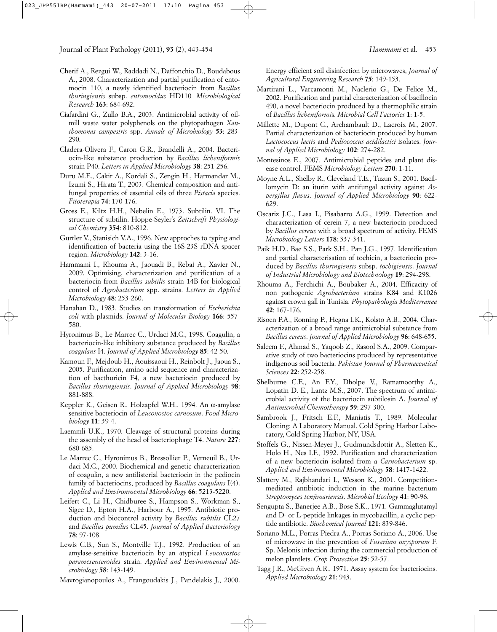- Cherif A., Rezgui W., Raddadi N., Daffonchio D., Boudabous A., 2008. Characterization and partial purification of entomocin 110, a newly identified bacteriocin from *Bacillus thuringiensis* subsp. *entomocidus* HD110*. Microbiological Research* **163**: 684-692.
- Ciafardini G., Zullo B.A., 2003. Antimicrobial activity of oilmill waste water polyphenols on the phytopathogen *Xanthomonas campestris* spp. *Annals of Microbiology* **53**: 283- 290.
- Cladera-Olivera F., Caron G.R., Brandelli A., 2004. Bacteriocin-like substance production by *Bacillus licheniformis* strain P40. *Letters in Applied Microbiology* **38**: 251-256.
- Duru M.E., Cakir A., Kordali S., Zengin H., Harmandar M., Izumi S., Hirata T., 2003. Chemical composition and antifungal properties of essential oils of three *Pistacia* species. *Fitoterapia* **74**: 170-176.
- Gross E., Kiltz H.H., Nebelin E., 1973. Subtilin. VI. The structure of subtilin. Hoppe-Seyler's *Zeitschrift Physiological Chemistry* **354**: 810-812.
- Gurtler V., Stanisich V.A., 1996. New approches to typing and identification of bacteria using the 16S-23S rDNA spacer region. *Microbiology* **142**: 3-16.
- Hammami I., Rhouma A., Jaouadi B., Rebai A., Xavier N., 2009. Optimising, characterization and purification of a bacteriocin from *Bacillus subtilis* strain 14B for biological control of *Agrobacterium* spp. strains. *Letters in Applied Microbiology* **48**: 253-260.
- Hanahan D., 1983. Studies on transformation of *Escherichia coli* with plasmids. *Journal of Molecular Biology* **166**: 557- 580.
- Hyronimus B., Le Marrec C., Urdaci M.C., 1998. Coagulin, a bacteriocin-like inhibitory substance produced by *Bacillus coagulans* I4. *Journal of Applied Microbiology* **85**: 42-50.
- Kamoun F., Mejdoub H., Aouissaoui H., Reinbolt J., Jaoua S., 2005. Purification, amino acid sequence and characterization of bacthuricin F4, a new bacteriocin produced by *Bacillus thuringiensis*. *Journal of Applied Microbiology* **98**: 881-888.
- Keppler K., Geisen R., Holzapfel W.H., 1994. An α-amylase sensitive bacteriocin of *Leuconostoc carnosum*. *Food Microbiology* **11**: 39-4.
- Laemmli U.K., 1970. Cleavage of structural proteins during the assembly of the head of bacteriophage T4. *Nature* **227**: 680-685.
- Le Marrec C., Hyronimus B., Bressollier P., Verneuil B., Urdaci M.C., 2000. Biochemical and genetic characterization of coagulin, a new antilisterial bacteriocin in the pediocin family of bacteriocins, produced by *Bacillus coagulans* I(4). *Applied and Environmental Microbiology* **66**: 5213-5220.
- Leifert C., Li H., Chidburee S., Hampson S., Workman S., Sigee D., Epton H.A., Harbour A., 1995. Antibiotic production and biocontrol activity by *Bacillus subtilis* CL27 and *Bacillus pumilus* CL45. *Journal of Applied Bacteriology* **78**: 97-108.
- Lewis C.B., Sun S., Montville T.J., 1992. Production of an amylase-sensitive bacteriocin by an atypical *Leuconostoc paramesenteroides* strain. *Applied and Environmental Microbiology* **58**: 143-149.
- Mavrogianopoulos A., Frangoudakis J., Pandelakis J., 2000.

Energy efficient soil disinfection by microwaves, *Journal of Agricultural Engineering Research* **75**: 149-153.

- Martirani L., Varcamonti M., Naclerio G., De Felice M., 2002. Purification and partial characterization of bacillocin 490, a novel bacteriocin produced by a thermophilic strain of *Bacillus licheniformi*s. *Microbial Cell Factories* **1**: 1-5.
- Millette M., Dupont C., Archambault D., Lacroix M., 2007. Partial characterization of bacteriocin produced by human *Lactococcus lactis* and *Pediococcus acidilactici* isolates. *Journal of Applied Microbiology* **102**: 274-282.
- Montesinos E., 2007. Antimicrobial peptides and plant disease control. FEMS *Microbiology Letters* **270**: 1-11.
- Moyne A.L., Shelby R., Cleveland T.E., Tuzun S., 2001. Bacillomycin D: an iturin with antifungal activity against *Aspergillus flavus*. *Journal of Applied Microbiology* **90**: 622- 629.
- Oscariz J.C., Lasa I., Pisabarro A.G., 1999. Detection and characterization of cerein 7, a new bacteriocin produced by *Bacillus cereus* with a broad spectrum of activity. FEMS *Microbiology Letters* **178**: 337-341.
- Paik H.D., Bae S.S., Park S.H., Pan J.G., 1997. Identification and partial characterisation of tochicin, a bacteriocin produced by *Bacillus thuringiensis* subsp. *tochigiensis*. *Journal of Industrial Microbiology and Biotechnology* **19**: 294-298.
- Rhouma A., Ferchichi A., Boubaker A., 2004. Efficacity of non pathogenic *Agrobacterium* strains K84 and K1026 against crown gall in Tunisia. *Phytopathologia Mediterranea* **42**: 167-176.
- Risoen P.A., Ronning P., Hegna I.K., Kolsto A.B., 2004. Characterization of a broad range antimicrobial substance from *Bacillus cereus*. *Journal of Applied Microbiology* **96**: 648-655.
- Saleem F., Ahmad S., Yaqoob Z., Rasool S.A., 2009. Comparative study of two bacteriocins produced by representative indigenous soil bacteria. *Pakistan Journal of Pharmaceutical Sciences* **22**: 252-258.
- Shelburne C.E., An F.Y., Dholpe V., Ramamoorthy A., Lopatin D. E., Lantz M.S., 2007. The spectrum of antimicrobial activity of the bacteriocin subtilosin A. *Journal of Antimicrobial Chemotherapy* **59**: 297-300.
- Sambrook J., Fritsch E.F., Maniatis T., 1989. Molecular Cloning: A Laboratory Manual. Cold Spring Harbor Laboratory, Cold Spring Harbor, NY, USA.
- Stoffels G., Nissen-Meyer J., Gudmundsdottir A., Sletten K., Holo H., Nes I.F., 1992. Purification and characterization of a new bacteriocin isolated from a *Carnobacterium* sp. *Applied and Environmental Microbiology* **58**: 1417-1422.
- Slattery M., Rajbhandari I., Wesson K., 2001. Competitionmediated antibiotic induction in the marine bacterium *Streptomyces tenjimariensis*. *Microbial Ecology* **41**: 90-96.
- Sengupta S., Banerjee A.B., Bose S.K., 1971. Gammaglutamyl and D- or L-peptide linkages in mycobacillin, a cyclic peptide antibiotic. *Biochemical Journal* **121**: 839-846.
- Soriano M.L., Porras-Piedra A., Porras-Soriano A., 2006. Use of microwave in the prevention of *Fusarium oxysporum* F. Sp. Melonis infection during the commercial production of melon plantlets. *Crop Protection* **25**: 52-57.
- Tagg J.R., McGiven A.R., 1971. Assay system for bacteriocins. *Applied Microbiology* **21**: 943.